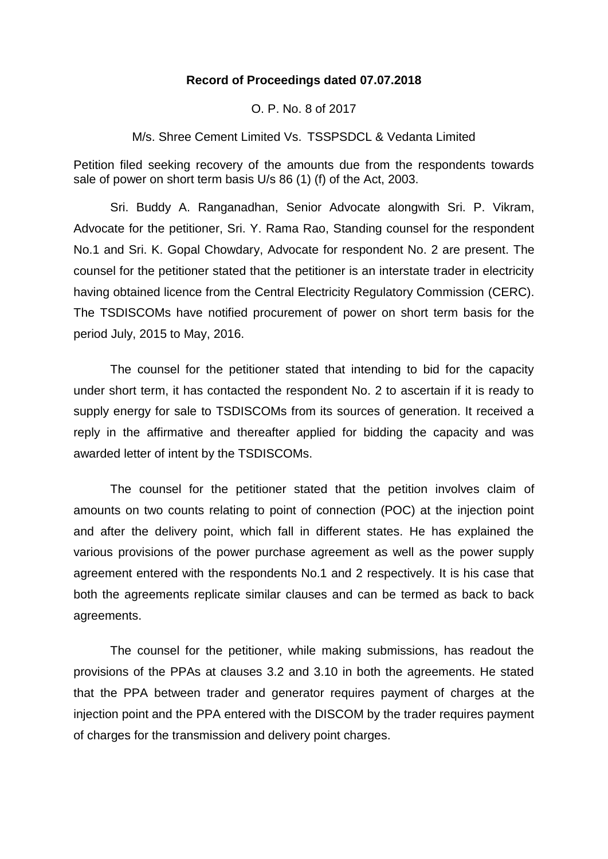## **Record of Proceedings dated 07.07.2018**

O. P. No. 8 of 2017

M/s. Shree Cement Limited Vs. TSSPSDCL & Vedanta Limited

Petition filed seeking recovery of the amounts due from the respondents towards sale of power on short term basis U/s 86 (1) (f) of the Act, 2003.

Sri. Buddy A. Ranganadhan, Senior Advocate alongwith Sri. P. Vikram, Advocate for the petitioner, Sri. Y. Rama Rao, Standing counsel for the respondent No.1 and Sri. K. Gopal Chowdary, Advocate for respondent No. 2 are present. The counsel for the petitioner stated that the petitioner is an interstate trader in electricity having obtained licence from the Central Electricity Regulatory Commission (CERC). The TSDISCOMs have notified procurement of power on short term basis for the period July, 2015 to May, 2016.

The counsel for the petitioner stated that intending to bid for the capacity under short term, it has contacted the respondent No. 2 to ascertain if it is ready to supply energy for sale to TSDISCOMs from its sources of generation. It received a reply in the affirmative and thereafter applied for bidding the capacity and was awarded letter of intent by the TSDISCOMs.

The counsel for the petitioner stated that the petition involves claim of amounts on two counts relating to point of connection (POC) at the injection point and after the delivery point, which fall in different states. He has explained the various provisions of the power purchase agreement as well as the power supply agreement entered with the respondents No.1 and 2 respectively. It is his case that both the agreements replicate similar clauses and can be termed as back to back agreements.

The counsel for the petitioner, while making submissions, has readout the provisions of the PPAs at clauses 3.2 and 3.10 in both the agreements. He stated that the PPA between trader and generator requires payment of charges at the injection point and the PPA entered with the DISCOM by the trader requires payment of charges for the transmission and delivery point charges.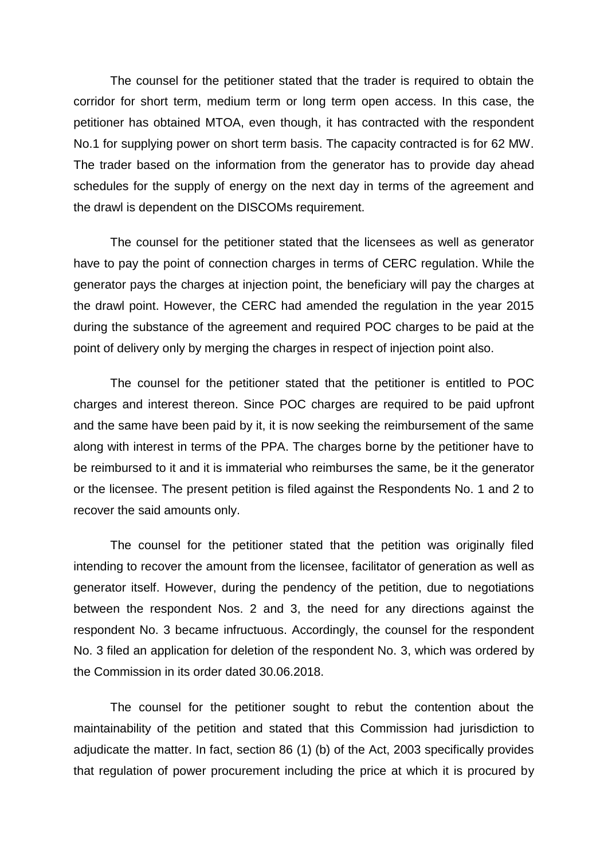The counsel for the petitioner stated that the trader is required to obtain the corridor for short term, medium term or long term open access. In this case, the petitioner has obtained MTOA, even though, it has contracted with the respondent No.1 for supplying power on short term basis. The capacity contracted is for 62 MW. The trader based on the information from the generator has to provide day ahead schedules for the supply of energy on the next day in terms of the agreement and the drawl is dependent on the DISCOMs requirement.

The counsel for the petitioner stated that the licensees as well as generator have to pay the point of connection charges in terms of CERC regulation. While the generator pays the charges at injection point, the beneficiary will pay the charges at the drawl point. However, the CERC had amended the regulation in the year 2015 during the substance of the agreement and required POC charges to be paid at the point of delivery only by merging the charges in respect of injection point also.

The counsel for the petitioner stated that the petitioner is entitled to POC charges and interest thereon. Since POC charges are required to be paid upfront and the same have been paid by it, it is now seeking the reimbursement of the same along with interest in terms of the PPA. The charges borne by the petitioner have to be reimbursed to it and it is immaterial who reimburses the same, be it the generator or the licensee. The present petition is filed against the Respondents No. 1 and 2 to recover the said amounts only.

The counsel for the petitioner stated that the petition was originally filed intending to recover the amount from the licensee, facilitator of generation as well as generator itself. However, during the pendency of the petition, due to negotiations between the respondent Nos. 2 and 3, the need for any directions against the respondent No. 3 became infructuous. Accordingly, the counsel for the respondent No. 3 filed an application for deletion of the respondent No. 3, which was ordered by the Commission in its order dated 30.06.2018.

The counsel for the petitioner sought to rebut the contention about the maintainability of the petition and stated that this Commission had jurisdiction to adjudicate the matter. In fact, section 86 (1) (b) of the Act, 2003 specifically provides that regulation of power procurement including the price at which it is procured by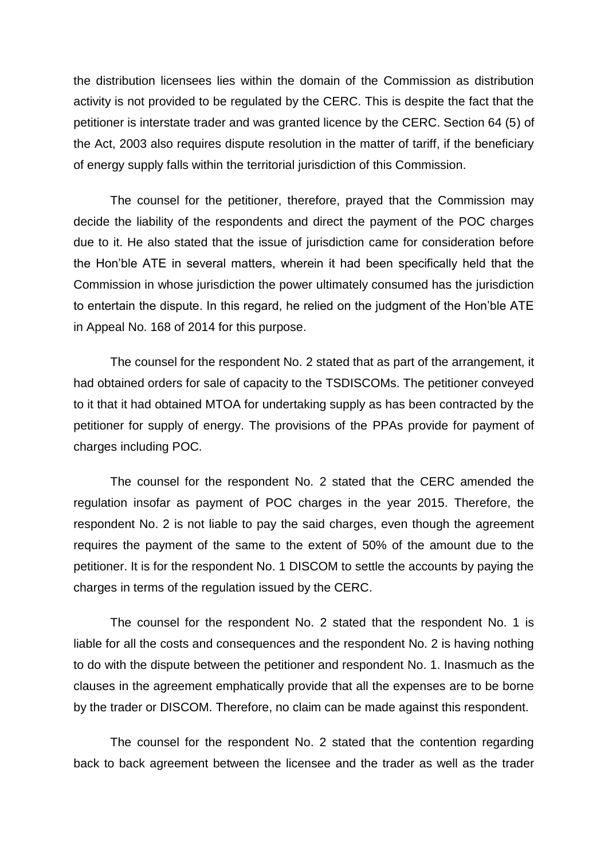the distribution licensees lies within the domain of the Commission as distribution activity is not provided to be regulated by the CERC. This is despite the fact that the petitioner is interstate trader and was granted licence by the CERC. Section 64 (5) of the Act, 2003 also requires dispute resolution in the matter of tariff, if the beneficiary of energy supply falls within the territorial jurisdiction of this Commission.

The counsel for the petitioner, therefore, prayed that the Commission may decide the liability of the respondents and direct the payment of the POC charges due to it. He also stated that the issue of jurisdiction came for consideration before the Hon'ble ATE in several matters, wherein it had been specifically held that the Commission in whose jurisdiction the power ultimately consumed has the jurisdiction to entertain the dispute. In this regard, he relied on the judgment of the Hon'ble ATE in Appeal No. 168 of 2014 for this purpose.

The counsel for the respondent No. 2 stated that as part of the arrangement, it had obtained orders for sale of capacity to the TSDISCOMs. The petitioner conveyed to it that it had obtained MTOA for undertaking supply as has been contracted by the petitioner for supply of energy. The provisions of the PPAs provide for payment of charges including POC.

The counsel for the respondent No. 2 stated that the CERC amended the regulation insofar as payment of POC charges in the year 2015. Therefore, the respondent No. 2 is not liable to pay the said charges, even though the agreement requires the payment of the same to the extent of 50% of the amount due to the petitioner. It is for the respondent No. 1 DISCOM to settle the accounts by paying the charges in terms of the regulation issued by the CERC.

The counsel for the respondent No. 2 stated that the respondent No. 1 is liable for all the costs and consequences and the respondent No. 2 is having nothing to do with the dispute between the petitioner and respondent No. 1. Inasmuch as the clauses in the agreement emphatically provide that all the expenses are to be borne by the trader or DISCOM. Therefore, no claim can be made against this respondent.

The counsel for the respondent No. 2 stated that the contention regarding back to back agreement between the licensee and the trader as well as the trader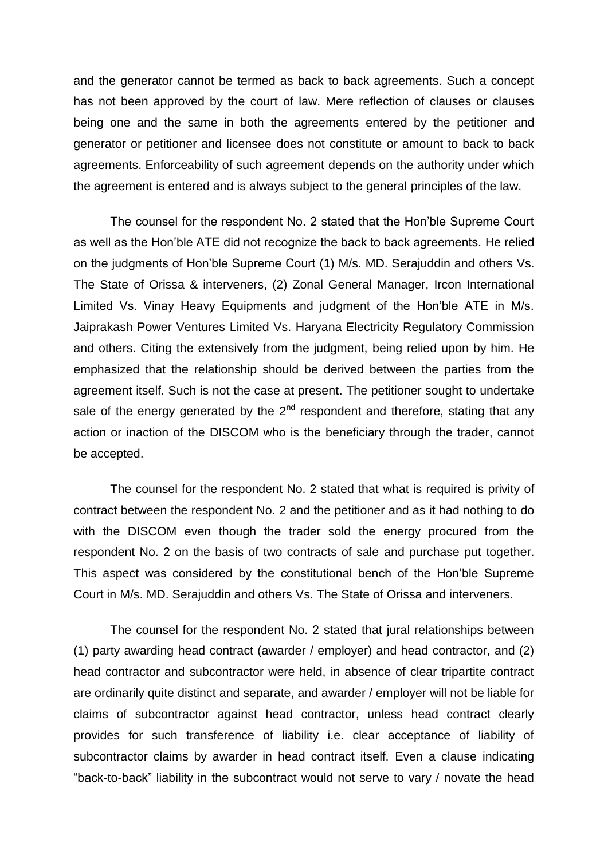and the generator cannot be termed as back to back agreements. Such a concept has not been approved by the court of law. Mere reflection of clauses or clauses being one and the same in both the agreements entered by the petitioner and generator or petitioner and licensee does not constitute or amount to back to back agreements. Enforceability of such agreement depends on the authority under which the agreement is entered and is always subject to the general principles of the law.

The counsel for the respondent No. 2 stated that the Hon'ble Supreme Court as well as the Hon'ble ATE did not recognize the back to back agreements. He relied on the judgments of Hon'ble Supreme Court (1) M/s. MD. Serajuddin and others Vs. The State of Orissa & interveners, (2) Zonal General Manager, Ircon International Limited Vs. Vinay Heavy Equipments and judgment of the Hon'ble ATE in M/s. Jaiprakash Power Ventures Limited Vs. Haryana Electricity Regulatory Commission and others. Citing the extensively from the judgment, being relied upon by him. He emphasized that the relationship should be derived between the parties from the agreement itself. Such is not the case at present. The petitioner sought to undertake sale of the energy generated by the  $2<sup>nd</sup>$  respondent and therefore, stating that any action or inaction of the DISCOM who is the beneficiary through the trader, cannot be accepted.

The counsel for the respondent No. 2 stated that what is required is privity of contract between the respondent No. 2 and the petitioner and as it had nothing to do with the DISCOM even though the trader sold the energy procured from the respondent No. 2 on the basis of two contracts of sale and purchase put together. This aspect was considered by the constitutional bench of the Hon'ble Supreme Court in M/s. MD. Serajuddin and others Vs. The State of Orissa and interveners.

The counsel for the respondent No. 2 stated that jural relationships between (1) party awarding head contract (awarder / employer) and head contractor, and (2) head contractor and subcontractor were held, in absence of clear tripartite contract are ordinarily quite distinct and separate, and awarder / employer will not be liable for claims of subcontractor against head contractor, unless head contract clearly provides for such transference of liability i.e. clear acceptance of liability of subcontractor claims by awarder in head contract itself. Even a clause indicating "back-to-back" liability in the subcontract would not serve to vary / novate the head